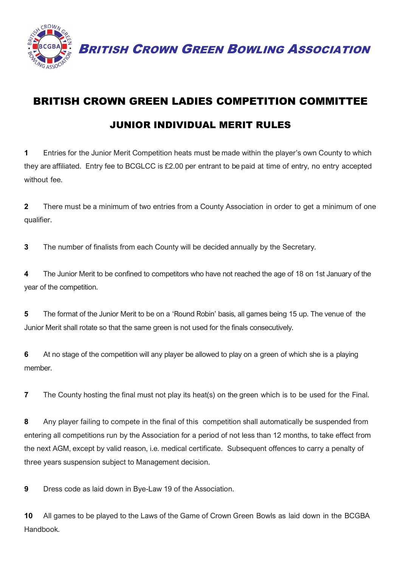

BRITISH CROWN GREEN BOWLING ASSOCIATION

## BRITISH CROWN GREEN LADIES COMPETITION COMMITTEE

## JUNIOR INDIVIDUAL MERIT RULES

**1** Entries for the Junior Merit Competition heats must be made within the player's own County to which they are affiliated. Entry fee to BCGLCC is £2.00 per entrant to be paid at time of entry, no entry accepted without fee.

**2** There must be a minimum of two entries from a County Association in order to get a minimum of one qualifier.

**3** The number of finalists from each County will be decided annually by the Secretary.

**4** The Junior Merit to be confined to competitors who have not reached the age of 18 on 1st January of the year of the competition.

**5** The format of the Junior Merit to be on a 'Round Robin' basis, all games being 15 up. The venue of the Junior Merit shall rotate so that the same green is not used for the finals consecutively.

**6** At no stage of the competition will any player be allowed to play on a green of which she is a playing member.

**7** The County hosting the final must not play its heat(s) on the green which is to be used for the Final.

**8** Any player failing to compete in the final of this competition shall automatically be suspended from entering all competitions run by the Association for a period of not less than 12 months, to take effect from the next AGM, except by valid reason, i.e. medical certificate. Subsequent offences to carry a penalty of three years suspension subject to Management decision.

**9** Dress code as laid down in Bye-Law 19 of the Association.

**10** All games to be played to the Laws of the Game of Crown Green Bowls as laid down in the BCGBA Handbook.